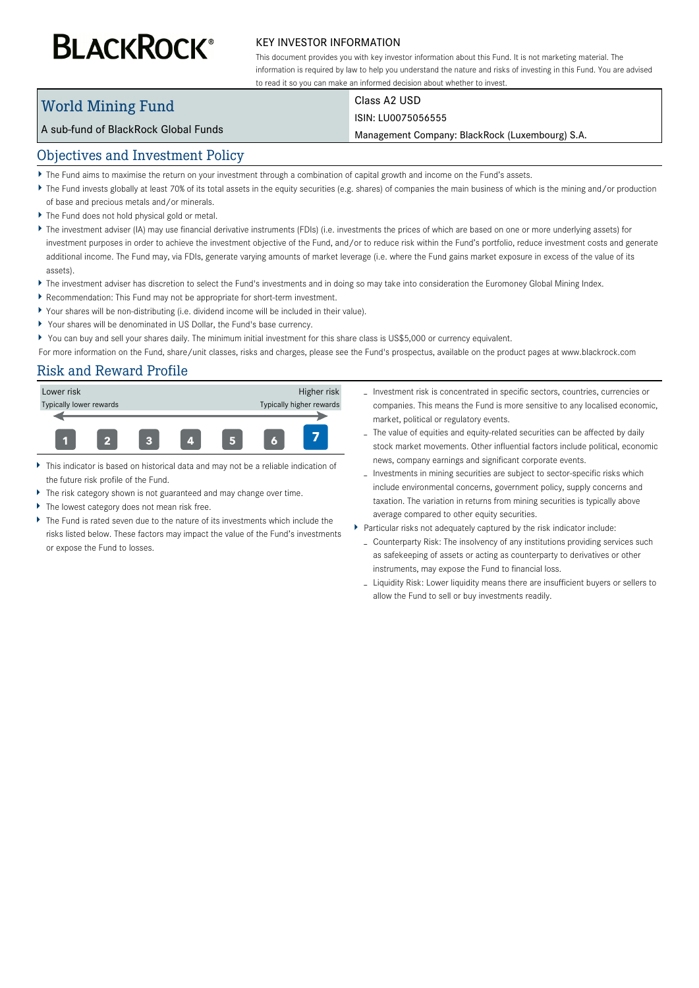# **BLACKROCK®**

#### KEY INVESTOR INFORMATION

This document provides you with key investor information about this Fund. It is not marketing material. The information is required by law to help you understand the nature and risks of investing in this Fund. You are advised to read it so you can make an informed decision about whether to invest.

# World Mining Fund

Class A2 USD

#### ISIN: LU0075056555

Management Company: BlackRock (Luxembourg) S.A.

### Objectives and Investment Policy

A sub-fund of BlackRock Global Funds

- The Fund aims to maximise the return on your investment through a combination of capital growth and income on the Fund's assets.
- ▶ The Fund invests globally at least 70% of its total assets in the equity securities (e.g. shares) of companies the main business of which is the mining and/or production of base and precious metals and/or minerals.
- The Fund does not hold physical gold or metal.
- ▶ The investment adviser (IA) may use financial derivative instruments (FDIs) (i.e. investments the prices of which are based on one or more underlying assets) for investment purposes in order to achieve the investment objective of the Fund, and/or to reduce risk within the Fund's portfolio, reduce investment costs and generate additional income. The Fund may, via FDIs, generate varying amounts of market leverage (i.e. where the Fund gains market exposure in excess of the value of its assets).
- ▶ The investment adviser has discretion to select the Fund's investments and in doing so may take into consideration the Euromoney Global Mining Index.
- Recommendation: This Fund may not be appropriate for short-term investment.
- Your shares will be non-distributing (i.e. dividend income will be included in their value).
- Your shares will be denominated in US Dollar, the Fund's base currency.
- You can buy and sell your shares daily. The minimum initial investment for this share class is US\$5,000 or currency equivalent.

For more information on the Fund, share/unit classes, risks and charges, please see the Fund's prospectus, available on the product pages at www.blackrock.com

## Risk and Reward Profile



- This indicator is based on historical data and may not be a reliable indication of the future risk profile of the Fund.
- The risk category shown is not guaranteed and may change over time.
- The lowest category does not mean risk free.
- The Fund is rated seven due to the nature of its investments which include the risks listed below. These factors may impact the value of the Fund's investments or expose the Fund to losses.
- Investment risk is concentrated in specific sectors, countries, currencies or companies. This means the Fund is more sensitive to any localised economic, market, political or regulatory events.
- The value of equities and equity-related securities can be affected by daily stock market movements. Other influential factors include political, economic news, company earnings and significant corporate events.
- Investments in mining securities are subject to sector-specific risks which include environmental concerns, government policy, supply concerns and taxation. The variation in returns from mining securities is typically above average compared to other equity securities.
- Particular risks not adequately captured by the risk indicator include:
	- Counterparty Risk: The insolvency of any institutions providing services such as safekeeping of assets or acting as counterparty to derivatives or other instruments, may expose the Fund to financial loss.
	- Liquidity Risk: Lower liquidity means there are insufficient buyers or sellers to allow the Fund to sell or buy investments readily.